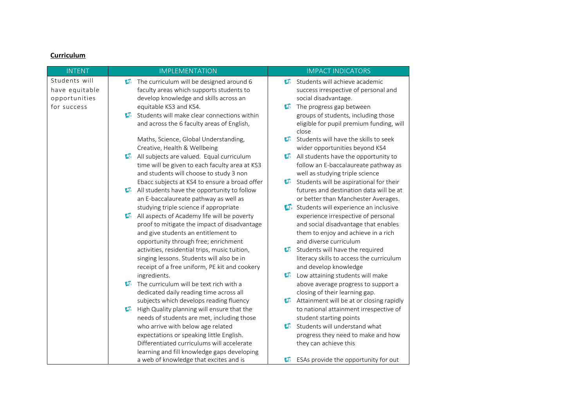## **Curriculum**

| <b>INTENT</b>  | <b>IMPLEMENTATION</b>                                | <b>IMPACT INDICATORS</b>                                   |
|----------------|------------------------------------------------------|------------------------------------------------------------|
| Students will  | The curriculum will be designed around 6             | Students will achieve academic<br>$\sigma$                 |
| have equitable | faculty areas which supports students to             | success irrespective of personal and                       |
| opportunities  | develop knowledge and skills across an               | social disadvantage.                                       |
| for success    | equitable KS3 and KS4.                               | The progress gap between                                   |
|                | <b>D</b> Students will make clear connections within | groups of students, including those                        |
|                | and across the 6 faculty areas of English,           | eligible for pupil premium funding, will<br>close          |
|                | Maths, Science, Global Understanding,                | $\mathbf{v}$<br>Students will have the skills to seek      |
|                | Creative, Health & Wellbeing                         | wider opportunities beyond KS4                             |
|                | All subjects are valued. Equal curriculum            | All students have the opportunity to<br>$\mathbf{v}$       |
|                | time will be given to each faculty area at KS3       | follow an E-baccalaureate pathway as                       |
|                | and students will choose to study 3 non              | well as studying triple science                            |
|                | Ebacc subjects at KS4 to ensure a broad offer        | Students will be aspirational for their                    |
|                | All students have the opportunity to follow          | futures and destination data will be at                    |
|                | an E-baccalaureate pathway as well as                | or better than Manchester Averages.                        |
|                | studying triple science if appropriate               | Students will experience an inclusive                      |
|                | All aspects of Academy life will be poverty          | experience irrespective of personal                        |
|                | proof to mitigate the impact of disadvantage         | and social disadvantage that enables                       |
|                | and give students an entitlement to                  | them to enjoy and achieve in a rich                        |
|                | opportunity through free; enrichment                 | and diverse curriculum                                     |
|                | activities, residential trips, music tuition,        | Students will have the required                            |
|                | singing lessons. Students will also be in            | literacy skills to access the curriculum                   |
|                | receipt of a free uniform, PE kit and cookery        | and develop knowledge                                      |
|                | ingredients.                                         | Low attaining students will make                           |
|                | The curriculum will be text rich with a              | above average progress to support a                        |
|                | dedicated daily reading time across all              | closing of their learning gap.                             |
|                | subjects which develops reading fluency              | Attainment will be at or closing rapidly<br>$\mathbf{v}$   |
|                | High Quality planning will ensure that the           | to national attainment irrespective of                     |
|                | needs of students are met, including those           | student starting points                                    |
|                | who arrive with below age related                    | Students will understand what<br>$\mathbf{D}_{\mathbf{r}}$ |
|                | expectations or speaking little English.             | progress they need to make and how                         |
|                | Differentiated curriculums will accelerate           | they can achieve this                                      |
|                | learning and fill knowledge gaps developing          |                                                            |
|                | a web of knowledge that excites and is               | ESAs provide the opportunity for out                       |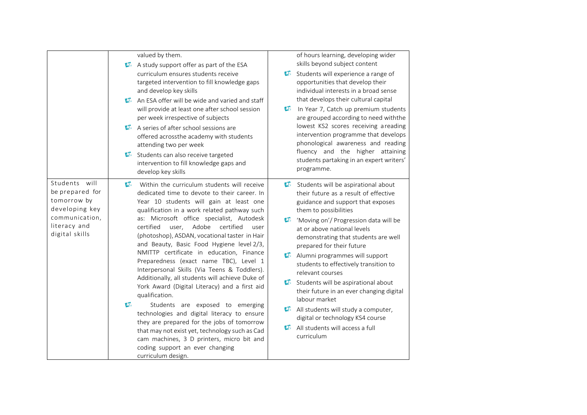|                                                                                                                       | valued by them.<br>A study support offer as part of the ESA<br>curriculum ensures students receive<br>targeted intervention to fill knowledge gaps<br>and develop key skills<br>An ESA offer will be wide and varied and staff<br>$\sigma$<br>will provide at least one after school session<br>per week irrespective of subjects<br>A series of after school sessions are<br>offered acrossthe academy with students<br>attending two per week<br>Students can also receive targeted<br>$\mathbf{v}$<br>intervention to fill knowledge gaps and<br>develop key skills                                                                                                                                                                                                                                                                                                                                                                                                           | of hours learning, developing wider<br>skills beyond subject content<br>$\mathbf{C}$<br>Students will experience a range of<br>opportunities that develop their<br>individual interests in a broad sense<br>that develops their cultural capital<br>$\sigma$<br>In Year 7, Catch up premium students<br>are grouped according to need withthe<br>lowest KS2 scores receiving areading<br>intervention programme that develops<br>phonological awareness and reading<br>fluency and the higher attaining<br>students partaking in an expert writers'<br>programme.                                                     |
|-----------------------------------------------------------------------------------------------------------------------|----------------------------------------------------------------------------------------------------------------------------------------------------------------------------------------------------------------------------------------------------------------------------------------------------------------------------------------------------------------------------------------------------------------------------------------------------------------------------------------------------------------------------------------------------------------------------------------------------------------------------------------------------------------------------------------------------------------------------------------------------------------------------------------------------------------------------------------------------------------------------------------------------------------------------------------------------------------------------------|-----------------------------------------------------------------------------------------------------------------------------------------------------------------------------------------------------------------------------------------------------------------------------------------------------------------------------------------------------------------------------------------------------------------------------------------------------------------------------------------------------------------------------------------------------------------------------------------------------------------------|
| Students will<br>be prepared for<br>tomorrow by<br>developing key<br>communication,<br>literacy and<br>digital skills | $\mathbf{u}$<br>Within the curriculum students will receive<br>dedicated time to devote to their career. In<br>Year 10 students will gain at least one<br>qualification in a work related pathway such<br>as: Microsoft office specialist, Autodesk<br>user, Adobe<br>certified<br>certified<br>user<br>(photoshop), ASDAN, vocational taster in Hair<br>and Beauty, Basic Food Hygiene level 2/3,<br>NMITTP certificate in education, Finance<br>Preparedness (exact name TBC), Level 1<br>Interpersonal Skills (Via Teens & Toddlers).<br>Additionally, all students will achieve Duke of<br>York Award (Digital Literacy) and a first aid<br>qualification.<br>$\boldsymbol{\sigma}$<br>Students are exposed to emerging<br>technologies and digital literacy to ensure<br>they are prepared for the jobs of tomorrow<br>that may not exist yet, technology such as Cad<br>cam machines, 3 D printers, micro bit and<br>coding support an ever changing<br>curriculum design. | Students will be aspirational about<br>their future as a result of effective<br>guidance and support that exposes<br>them to possibilities<br>Moving on'/ Progression data will be<br>at or above national levels<br>demonstrating that students are well<br>prepared for their future<br>Alumni programmes will support<br>students to effectively transition to<br>relevant courses<br>Students will be aspirational about<br>their future in an ever changing digital<br>labour market<br>All students will study a computer,<br>digital or technology KS4 course<br>All students will access a full<br>curriculum |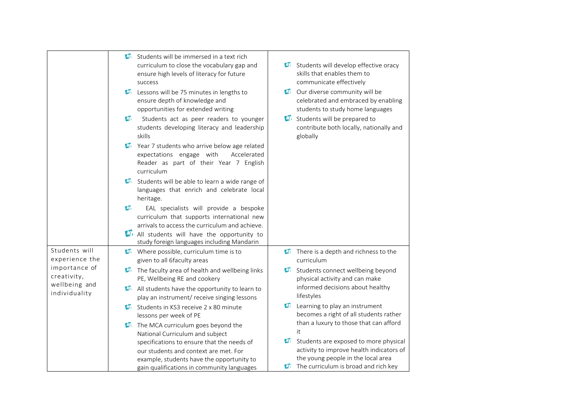|                                                                                                   | Students will be immersed in a text rich<br>curriculum to close the vocabulary gap and<br>Students will develop effective oracy<br>skills that enables them to<br>ensure high levels of literacy for future<br>communicate effectively<br>success<br><b>D</b> Our diverse community will be<br>Lessons will be 75 minutes in lengths to<br>celebrated and embraced by enabling<br>ensure depth of knowledge and<br>opportunities for extended writing<br>students to study home languages<br>Students will be prepared to<br>$\sigma$<br>Students act as peer readers to younger<br>students developing literacy and leadership<br>contribute both locally, nationally and<br>skills<br>globally<br><b>D</b> Year 7 students who arrive below age related<br>expectations engage with<br>Accelerated<br>Reader as part of their Year 7 English<br>curriculum<br>Students will be able to learn a wide range of<br>languages that enrich and celebrate local<br>heritage.<br>$\boldsymbol{\sigma}$<br>EAL specialists will provide a bespoke<br>curriculum that supports international new<br>arrivals to access the curriculum and achieve.<br>All students will have the opportunity to<br>study foreign languages including Mandarin |  |
|---------------------------------------------------------------------------------------------------|----------------------------------------------------------------------------------------------------------------------------------------------------------------------------------------------------------------------------------------------------------------------------------------------------------------------------------------------------------------------------------------------------------------------------------------------------------------------------------------------------------------------------------------------------------------------------------------------------------------------------------------------------------------------------------------------------------------------------------------------------------------------------------------------------------------------------------------------------------------------------------------------------------------------------------------------------------------------------------------------------------------------------------------------------------------------------------------------------------------------------------------------------------------------------------------------------------------------------------------|--|
| Students will<br>experience the<br>importance of<br>creativity,<br>wellbeing and<br>individuality | $\mathbf{U}$ . Where possible, curriculum time is to<br>There is a depth and richness to the<br>given to all 6faculty areas<br>curriculum<br>The faculty area of health and wellbeing links<br>$\mathbf{D}$<br>Students connect wellbeing beyond<br>PE, Wellbeing RE and cookery<br>physical activity and can make<br>informed decisions about healthy<br>$\boldsymbol{\Phi}$<br>All students have the opportunity to learn to<br>lifestyles<br>play an instrument/ receive singing lessons<br>$\mathbf{v}$<br>Learning to play an instrument<br>Students in KS3 receive 2 x 80 minute<br>becomes a right of all students rather<br>lessons per week of PE<br>than a luxury to those that can afford<br>$\mathbf{D}$ . The MCA curriculum goes beyond the<br>it<br>National Curriculum and subject<br>$\mathbf{U}_1$<br>Students are exposed to more physical<br>specifications to ensure that the needs of<br>activity to improve health indicators of<br>our students and context are met. For<br>the young people in the local area<br>example, students have the opportunity to<br>The curriculum is broad and rich key<br>gain qualifications in community languages                                                              |  |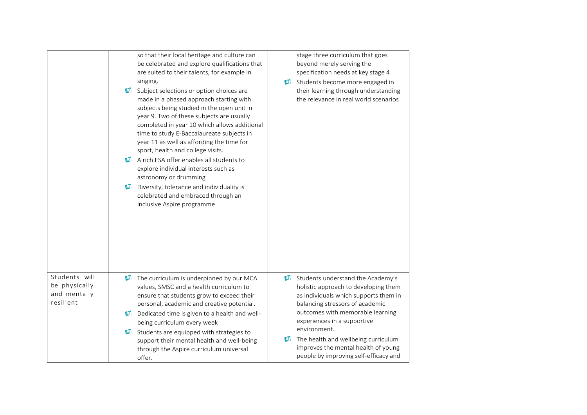|                                                             | so that their local heritage and culture can<br>stage three curriculum that goes<br>be celebrated and explore qualifications that<br>beyond merely serving the<br>are suited to their talents, for example in<br>specification needs at key stage 4<br>singing.<br>Students become more engaged in<br>their learning through understanding<br><b>D</b> Subject selections or option choices are<br>the relevance in real world scenarios<br>made in a phased approach starting with<br>subjects being studied in the open unit in<br>year 9. Two of these subjects are usually<br>completed in year 10 which allows additional<br>time to study E-Baccalaureate subjects in<br>year 11 as well as affording the time for<br>sport, health and college visits.<br>A rich ESA offer enables all students to<br>explore individual interests such as<br>astronomy or drumming<br>$\mathbf{U}$<br>Diversity, tolerance and individuality is<br>celebrated and embraced through an<br>inclusive Aspire programme |
|-------------------------------------------------------------|-------------------------------------------------------------------------------------------------------------------------------------------------------------------------------------------------------------------------------------------------------------------------------------------------------------------------------------------------------------------------------------------------------------------------------------------------------------------------------------------------------------------------------------------------------------------------------------------------------------------------------------------------------------------------------------------------------------------------------------------------------------------------------------------------------------------------------------------------------------------------------------------------------------------------------------------------------------------------------------------------------------|
| Students will<br>be physically<br>and mentally<br>resilient | Students understand the Academy's<br>The curriculum is underpinned by our MCA<br>$\mathbf{v}$<br>values, SMSC and a health curriculum to<br>holistic approach to developing them<br>ensure that students grow to exceed their<br>as individuals which supports them in<br>personal, academic and creative potential.<br>balancing stressors of academic<br>outcomes with memorable learning<br>D. Dedicated time is given to a health and well-<br>experiences in a supportive<br>being curriculum every week<br>environment.<br>$\mathbf{D}$<br>Students are equipped with strategies to<br>The health and wellbeing curriculum<br>support their mental health and well-being<br>improves the mental health of young<br>through the Aspire curriculum universal<br>people by improving self-efficacy and<br>offer.                                                                                                                                                                                         |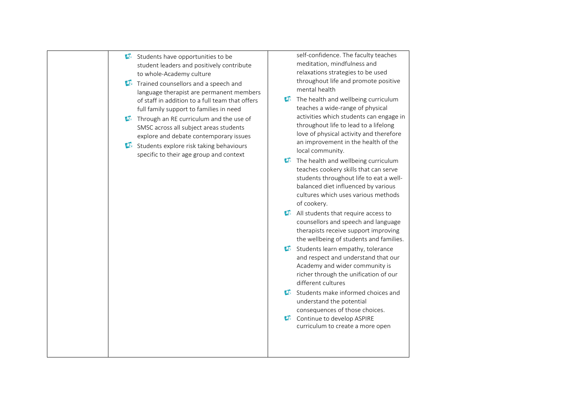| $\sigma$ | Students have opportunities to be<br>student leaders and positively contribute<br>to whole-Academy culture                                                                                                                                                                                                                                                                                          |                | self-confidence. The faculty teaches<br>meditation, mindfulness and<br>relaxations strategies to be used<br>throughout life and promote positive                                                                                                                                                                                                                                                                                                                                                           |
|----------|-----------------------------------------------------------------------------------------------------------------------------------------------------------------------------------------------------------------------------------------------------------------------------------------------------------------------------------------------------------------------------------------------------|----------------|------------------------------------------------------------------------------------------------------------------------------------------------------------------------------------------------------------------------------------------------------------------------------------------------------------------------------------------------------------------------------------------------------------------------------------------------------------------------------------------------------------|
|          | Trained counsellors and a speech and<br>language therapist are permanent members<br>of staff in addition to a full team that offers<br>full family support to families in need<br>Through an RE curriculum and the use of<br>SMSC across all subject areas students<br>explore and debate contemporary issues<br>Students explore risk taking behaviours<br>specific to their age group and context |                | mental health<br>The health and wellbeing curriculum<br>teaches a wide-range of physical<br>activities which students can engage in<br>throughout life to lead to a lifelong<br>love of physical activity and therefore<br>an improvement in the health of the<br>local community.<br>The health and wellbeing curriculum<br>teaches cookery skills that can serve<br>students throughout life to eat a well-<br>balanced diet influenced by various<br>cultures which uses various methods<br>of cookery. |
|          |                                                                                                                                                                                                                                                                                                                                                                                                     |                | All students that require access to<br>counsellors and speech and language<br>therapists receive support improving<br>the wellbeing of students and families.                                                                                                                                                                                                                                                                                                                                              |
|          |                                                                                                                                                                                                                                                                                                                                                                                                     |                | Students learn empathy, tolerance<br>and respect and understand that our<br>Academy and wider community is<br>richer through the unification of our<br>different cultures                                                                                                                                                                                                                                                                                                                                  |
|          |                                                                                                                                                                                                                                                                                                                                                                                                     | $\mathbf{v}_i$ | Students make informed choices and<br>understand the potential<br>consequences of those choices.                                                                                                                                                                                                                                                                                                                                                                                                           |
|          |                                                                                                                                                                                                                                                                                                                                                                                                     |                | Continue to develop ASPIRE<br>curriculum to create a more open                                                                                                                                                                                                                                                                                                                                                                                                                                             |